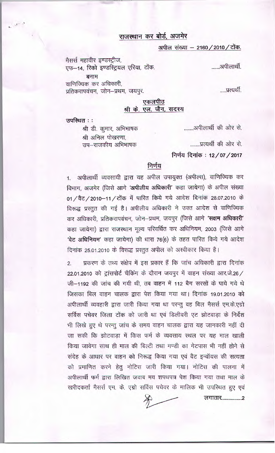## राजस्थान कर बोर्ड, अजमेर

अपील संख्या - 2160 / 2010 / टोंक.

मैसर्स महावीर इण्डस्ट्रीज, एफ-14, रिको इण्डस्ट्रियल एरिया, टोंक. बनाम वाणिज्यिक कर अधिकारी,

प्रतिकरापवंचन, जोन–प्रथम, जयपुर.

एकलपीठ श्री के. एल. जैन, सदस्य

उपस्थित : :

........अपीलार्थी की ओर से.

.....प्रत्यर्थी.

श्री अनिल पोखरणा,

उप–राजकीय अभिभाषक

श्री डी. कूमार, अभिभाषक

........प्रत्यर्थी की ओर से.

निर्णय दिनांक: 12/07/2017

## निर्णय

1. अपीलार्थी व्यवसायी द्वारा यह अपील उपायुक्त (अपील्स), वाणिज्यिक कर विभाग, अजमेर (जिसे आगे 'अपीलीय अधिकारी' कहा जायेगा) के अपील संख्या 01 / वैट / 2010-11 / टोंक में पारित किये गये आदेश दिनांक 28.07.2010 के विरूद्ध प्रस्तुत की गई है। अपीलीय अधिकारी ने उक्त आदेश से वाणिज्यिक कर अधिकारी, प्रतिकरापवंचन, जोन-प्रथम, जयपुर (जिसे आगे 'सक्षम अधिकारी' कहा जायेगा) द्वारा राजस्थान मूल्य परिवर्धित कर अधिनियम, 2003 (जिसे आगे 'वेट अधिनियम' कहा जायेगा) की धारा 76(6) के तहत पारित किये गये आदेश दिनांक 25.01.2010 के विरूद्ध प्रस्तुत अपील को अस्वीकार किया है।

प्रकरण के तथ्य संक्षेप में इस प्रकार हैं कि जांच अधिकारी द्वारा दिनांक  $\overline{2}$ . 22.01.2010 को ट्रांसपोर्ट चैकिंग के दौरान जयपुर में वाहन संख्या आर.जे.26 / जी–1192 की जांच की गयी थी, तब वाहन में 112 बैग सरसों के पाये गये थे जिसका बिल वाहन चालक द्वारा पेश किया गया था। दिनांक 19.01.2010 को अपीलार्थी व्यवहारी द्वारा जारी किया गया था परन्तू वह बिल मैसर्स एम.के.एग्रो सर्विस पचेवर जिला टोंक को जारी था एवं डिलीवरी एट झोटवाडा के निर्देश भी लिखे हुए थे परन्तु जांच के समय वाहन चालक द्वारा यह जानकारी नहीं दी जा सकी कि झोटवाड़ा में किस फर्म के व्यवसाय स्थल पर यह माल खाली किया जावेगा साथ ही माल की बिल्टी तथा मण्डी का गेटपास भी नहीं होने से संदेह के आधार पर वाहन को निरूद्ध किया गया एवं वैट इन्वॉयस की सत्यता को प्रमाणित करने हेतु नोटिस जारी किया गया। नोटिस की पालना में अपीलार्थी फर्म द्वारा लिखित जवाब मय शपथपत्र पेश किया गया तथा माल के खरीदकर्ता मैसर्स एम. के. एग्रो सर्विस पचेवर के मालिक भी उपस्थित हुए एवं

लगातार..................2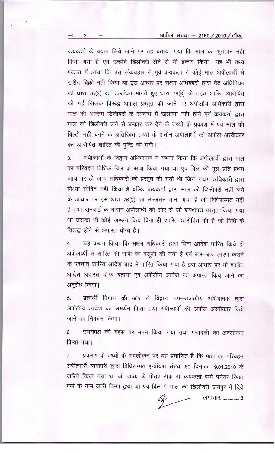## अपील संख्या - 2160 / 2010 / टोंक.

क्रयकर्ता के बयान लिये जाने पर यह बताया गया कि माल का भुगतान नहीं किया गया है एवं उन्होंने डिलीवरी लेने से भी इंकार किया। यह भी तथ्य प्रकाश में आया कि इस संव्यवहार से पूर्व क्रयकर्ता ने कोई माल अपीलार्थी से खरीद बिक्री नहीं किया था इस आधार पर सक्षम अधिकारी द्वारा वेट अधिनियम की धारा 76(2) का उल्लंघन मानते हुए धारा 76(6) के तहत शारित आरोपित की गई जिसके विरूद्ध अपील प्रस्तुत की जाने पर अपीलीय अधिकारी द्वारा माल की अन्तिम डिलीवरी के सम्बन्ध में खुलासा नहीं होने एवं क्रयकर्ता द्वारा माल की डिलीवरी लेने से इन्कार कर देने के तथ्यों के प्रकाश में एवं माल की बिल्टी नहीं बनने के अतिरिक्त तथ्यों के अधीन अपीलार्थी की अपील अस्वीकार कर आरोपित शास्ति की पुष्टि की गयी।

अपीलार्थी के विद्वान अभिभाषक ने कथन किया कि अपीलार्थी द्वारा माल  $3.$ का परिवहन विधिक बिल के साथ किया गया था एवं बिल की मूल प्रति प्रथम जांच पर ही जांच अधिकारी को प्रस्तुत की गयी थी जिसे सक्षम अधिकारी द्वारा मिथ्या घोषित नहीं किया है बल्कि क्रयकर्ता द्वारा माल की डिलीवरी नहीं लेने के आधार पर इसे धारा 76(2) का उल्लंघन माना गया है जो विधिसम्मत नहीं है तथा सुनवाई के दौरान अपीलार्थी की ओर से जो शपथपत्र प्रस्तुत किया गया था उसका भी कोई खण्डन किये बिना ही शास्ति आरोपित की है जो विधि के विरूद्ध होने से अपास्त योग्य है।

यह कथन किया कि सक्षम अधिकारी द्वारा बिना आदेश पारित किये ही  $4.$ अपीलार्थी से शारित की राशि की वसूली की गयी है एवं बार-बार स्मरण कराने के पश्चात् शास्ति आदेश बाद में पारित किया गया है इस आधार पर भी शास्ति आदेश अपास्त योग्य बतायां एवं अपीलीय आदेश को अपास्त किये जाने का अनुरोध किया।

प्रत्यर्थी विभाग की ओर से विद्वान उप-राजकीय अभिभाषक द्वारा 5. अपीलीय आदेश का समर्थन किया तथा अपीलार्थी की अपील अस्वीकार किये जाने का निवेदन किया।

उभयपक्ष की बहस पर मनन किया गया तथा पत्रावली का अवलोकन 6. किया गया।

प्रकरण के तथ्यों के अवलोकन पर यह प्रमाणित है कि माल का परिवहन  $7.$ अपीलार्थी व्यवहारी द्वारा विधिसम्मत इन्वॉयस संख्या 60 दिनांक 19.01.2010 के जरिये किया गया था जो राज्य के भीतर टोंक से क्रयकर्ता फर्म पचेवर स्थित फर्म के नाम जारी किया हुआ था एवं बिल में माल की डिलीवरी जयपुर में दिये

लगातार...................3

2